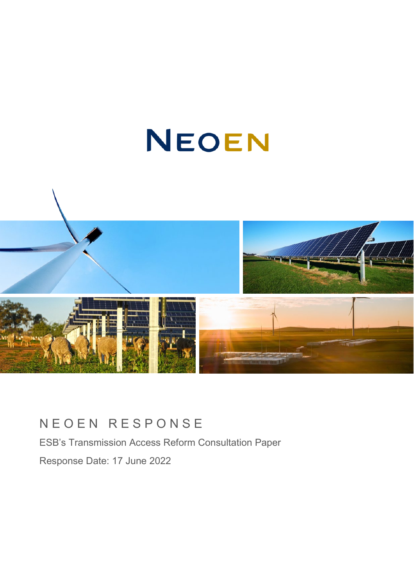# NEOEN



# NEOEN RESPONSE

ESB's Transmission Access Reform Consultation Paper Response Date: 17 June 2022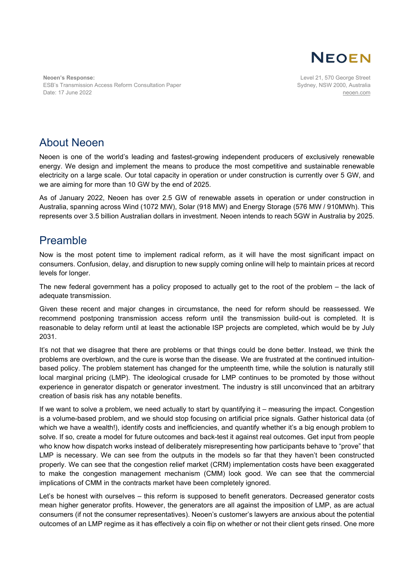

**Neoen's Response:** ESB's Transmission Access Reform Consultation Paper Date: 17 June 2022

Level 21, 570 George Street Sydney, NSW 2000, Australia [neoen.com](https://www.neoen.com/)

# About Neoen

Neoen is one of the world's leading and fastest-growing independent producers of exclusively renewable energy. We design and implement the means to produce the most competitive and sustainable renewable electricity on a large scale. Our total capacity in operation or under construction is currently over 5 GW, and we are aiming for more than 10 GW by the end of 2025.

As of January 2022, Neoen has over 2.5 GW of renewable assets in operation or under construction in Australia, spanning across Wind (1072 MW), Solar (918 MW) and Energy Storage (576 MW / 910MWh). This represents over 3.5 billion Australian dollars in investment. Neoen intends to reach 5GW in Australia by 2025.

# Preamble

Now is the most potent time to implement radical reform, as it will have the most significant impact on consumers. Confusion, delay, and disruption to new supply coming online will help to maintain prices at record levels for longer.

The new federal government has a policy proposed to actually get to the root of the problem – the lack of adequate transmission.

Given these recent and major changes in circumstance, the need for reform should be reassessed. We recommend postponing transmission access reform until the transmission build-out is completed. It is reasonable to delay reform until at least the actionable ISP projects are completed, which would be by July 2031.

It's not that we disagree that there are problems or that things could be done better. Instead, we think the problems are overblown, and the cure is worse than the disease. We are frustrated at the continued intuitionbased policy. The problem statement has changed for the umpteenth time, while the solution is naturally still local marginal pricing (LMP). The ideological crusade for LMP continues to be promoted by those without experience in generator dispatch or generator investment. The industry is still unconvinced that an arbitrary creation of basis risk has any notable benefits.

If we want to solve a problem, we need actually to start by quantifying it – measuring the impact. Congestion is a volume-based problem, and we should stop focusing on artificial price signals. Gather historical data (of which we have a wealth!), identify costs and inefficiencies, and quantify whether it's a big enough problem to solve. If so, create a model for future outcomes and back-test it against real outcomes. Get input from people who know how dispatch works instead of deliberately misrepresenting how participants behave to "prove" that LMP is necessary. We can see from the outputs in the models so far that they haven't been constructed properly. We can see that the congestion relief market (CRM) implementation costs have been exaggerated to make the congestion management mechanism (CMM) look good. We can see that the commercial implications of CMM in the contracts market have been completely ignored.

Let's be honest with ourselves – this reform is supposed to benefit generators. Decreased generator costs mean higher generator profits. However, the generators are all against the imposition of LMP, as are actual consumers (if not the consumer representatives). Neoen's customer's lawyers are anxious about the potential outcomes of an LMP regime as it has effectively a coin flip on whether or not their client gets rinsed. One more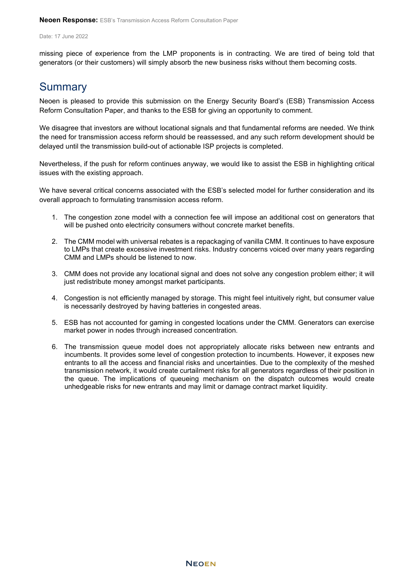missing piece of experience from the LMP proponents is in contracting. We are tired of being told that generators (or their customers) will simply absorb the new business risks without them becoming costs.

# **Summary**

Neoen is pleased to provide this submission on the Energy Security Board's (ESB) Transmission Access Reform Consultation Paper, and thanks to the ESB for giving an opportunity to comment.

We disagree that investors are without locational signals and that fundamental reforms are needed. We think the need for transmission access reform should be reassessed, and any such reform development should be delayed until the transmission build-out of actionable ISP projects is completed.

Nevertheless, if the push for reform continues anyway, we would like to assist the ESB in highlighting critical issues with the existing approach.

We have several critical concerns associated with the ESB's selected model for further consideration and its overall approach to formulating transmission access reform.

- 1. The congestion zone model with a connection fee will impose an additional cost on generators that will be pushed onto electricity consumers without concrete market benefits.
- 2. The CMM model with universal rebates is a repackaging of vanilla CMM. It continues to have exposure to LMPs that create excessive investment risks. Industry concerns voiced over many years regarding CMM and LMPs should be listened to now.
- 3. CMM does not provide any locational signal and does not solve any congestion problem either; it will just redistribute money amongst market participants.
- 4. Congestion is not efficiently managed by storage. This might feel intuitively right, but consumer value is necessarily destroyed by having batteries in congested areas.
- 5. ESB has not accounted for gaming in congested locations under the CMM. Generators can exercise market power in nodes through increased concentration.
- 6. The transmission queue model does not appropriately allocate risks between new entrants and incumbents. It provides some level of congestion protection to incumbents. However, it exposes new entrants to all the access and financial risks and uncertainties. Due to the complexity of the meshed transmission network, it would create curtailment risks for all generators regardless of their position in the queue. The implications of queueing mechanism on the dispatch outcomes would create unhedgeable risks for new entrants and may limit or damage contract market liquidity.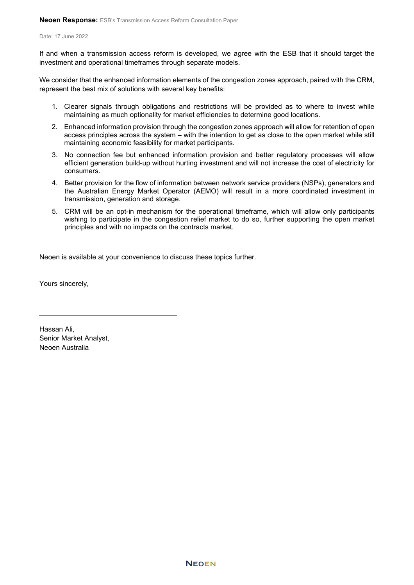If and when a transmission access reform is developed, we agree with the ESB that it should target the investment and operational timeframes through separate models.

We consider that the enhanced information elements of the congestion zones approach, paired with the CRM, represent the best mix of solutions with several key benefits:

- 1. Clearer signals through obligations and restrictions will be provided as to where to invest while maintaining as much optionality for market efficiencies to determine good locations.
- 2. Enhanced information provision through the congestion zones approach will allow for retention of open access principles across the system – with the intention to get as close to the open market while still maintaining economic feasibility for market participants.
- 3. No connection fee but enhanced information provision and better regulatory processes will allow efficient generation build-up without hurting investment and will not increase the cost of electricity for consumers.
- 4. Better provision for the flow of information between network service providers (NSPs), generators and the Australian Energy Market Operator (AEMO) will result in a more coordinated investment in transmission, generation and storage.
- 5. CRM will be an opt-in mechanism for the operational timeframe, which will allow only participants wishing to participate in the congestion relief market to do so, further supporting the open market principles and with no impacts on the contracts market.

Neoen is available at your convenience to discuss these topics further.

Yours sincerely,

Hassan Ali, Senior Market Analyst, Neoen Australia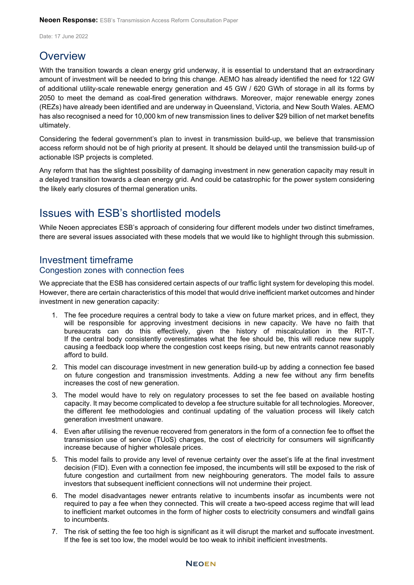# **Overview**

With the transition towards a clean energy grid underway, it is essential to understand that an extraordinary amount of investment will be needed to bring this change. AEMO has already identified the need for 122 GW of additional utility-scale renewable energy generation and 45 GW / 620 GWh of storage in all its forms by 2050 to meet the demand as coal-fired generation withdraws. Moreover, major renewable energy zones (REZs) have already been identified and are underway in Queensland, Victoria, and New South Wales. AEMO has also recognised a need for 10,000 km of new transmission lines to deliver \$29 billion of net market benefits ultimately.

Considering the federal government's plan to invest in transmission build-up, we believe that transmission access reform should not be of high priority at present. It should be delayed until the transmission build-up of actionable ISP projects is completed.

Any reform that has the slightest possibility of damaging investment in new generation capacity may result in a delayed transition towards a clean energy grid. And could be catastrophic for the power system considering the likely early closures of thermal generation units.

# Issues with ESB's shortlisted models

While Neoen appreciates ESB's approach of considering four different models under two distinct timeframes, there are several issues associated with these models that we would like to highlight through this submission.

# Investment timeframe

## Congestion zones with connection fees

We appreciate that the ESB has considered certain aspects of our traffic light system for developing this model. However, there are certain characteristics of this model that would drive inefficient market outcomes and hinder investment in new generation capacity:

- 1. The fee procedure requires a central body to take a view on future market prices, and in effect, they will be responsible for approving investment decisions in new capacity. We have no faith that bureaucrats can do this effectively, given the history of miscalculation in the RIT-T. If the central body consistently overestimates what the fee should be, this will reduce new supply causing a feedback loop where the congestion cost keeps rising, but new entrants cannot reasonably afford to build.
- 2. This model can discourage investment in new generation build-up by adding a connection fee based on future congestion and transmission investments. Adding a new fee without any firm benefits increases the cost of new generation.
- 3. The model would have to rely on regulatory processes to set the fee based on available hosting capacity. It may become complicated to develop a fee structure suitable for all technologies. Moreover, the different fee methodologies and continual updating of the valuation process will likely catch generation investment unaware.
- 4. Even after utilising the revenue recovered from generators in the form of a connection fee to offset the transmission use of service (TUoS) charges, the cost of electricity for consumers will significantly increase because of higher wholesale prices.
- 5. This model fails to provide any level of revenue certainty over the asset's life at the final investment decision (FID). Even with a connection fee imposed, the incumbents will still be exposed to the risk of future congestion and curtailment from new neighbouring generators. The model fails to assure investors that subsequent inefficient connections will not undermine their project.
- 6. The model disadvantages newer entrants relative to incumbents insofar as incumbents were not required to pay a fee when they connected. This will create a two-speed access regime that will lead to inefficient market outcomes in the form of higher costs to electricity consumers and windfall gains to incumbents.
- 7. The risk of setting the fee too high is significant as it will disrupt the market and suffocate investment. If the fee is set too low, the model would be too weak to inhibit inefficient investments.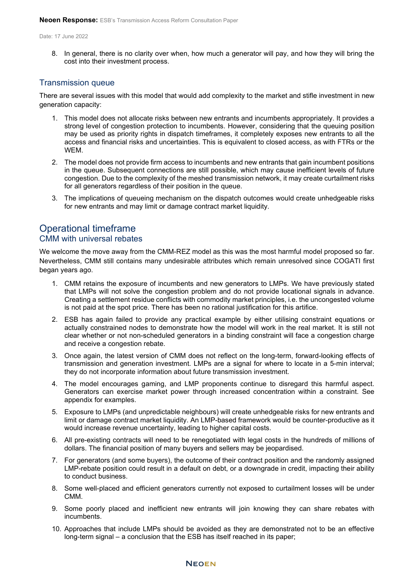8. In general, there is no clarity over when, how much a generator will pay, and how they will bring the cost into their investment process.

## Transmission queue

There are several issues with this model that would add complexity to the market and stifle investment in new generation capacity:

- 1. This model does not allocate risks between new entrants and incumbents appropriately. It provides a strong level of congestion protection to incumbents. However, considering that the queuing position may be used as priority rights in dispatch timeframes, it completely exposes new entrants to all the access and financial risks and uncertainties. This is equivalent to closed access, as with FTRs or the WEM.
- 2. The model does not provide firm access to incumbents and new entrants that gain incumbent positions in the queue. Subsequent connections are still possible, which may cause inefficient levels of future congestion. Due to the complexity of the meshed transmission network, it may create curtailment risks for all generators regardless of their position in the queue.
- 3. The implications of queueing mechanism on the dispatch outcomes would create unhedgeable risks for new entrants and may limit or damage contract market liquidity.

# Operational timeframe CMM with universal rebates

We welcome the move away from the CMM-REZ model as this was the most harmful model proposed so far. Nevertheless, CMM still contains many undesirable attributes which remain unresolved since COGATI first began years ago.

- 1. CMM retains the exposure of incumbents and new generators to LMPs. We have previously stated that LMPs will not solve the congestion problem and do not provide locational signals in advance. Creating a settlement residue conflicts with commodity market principles, i.e. the uncongested volume is not paid at the spot price. There has been no rational justification for this artifice.
- 2. ESB has again failed to provide any practical example by either utilising constraint equations or actually constrained nodes to demonstrate how the model will work in the real market. It is still not clear whether or not non-scheduled generators in a binding constraint will face a congestion charge and receive a congestion rebate.
- 3. Once again, the latest version of CMM does not reflect on the long-term, forward-looking effects of transmission and generation investment. LMPs are a signal for where to locate in a 5-min interval; they do not incorporate information about future transmission investment.
- 4. The model encourages gaming, and LMP proponents continue to disregard this harmful aspect. Generators can exercise market power through increased concentration within a constraint. See appendix for examples.
- 5. Exposure to LMPs (and unpredictable neighbours) will create unhedgeable risks for new entrants and limit or damage contract market liquidity. An LMP-based framework would be counter-productive as it would increase revenue uncertainty, leading to higher capital costs.
- 6. All pre-existing contracts will need to be renegotiated with legal costs in the hundreds of millions of dollars. The financial position of many buyers and sellers may be jeopardised.
- 7. For generators (and some buyers), the outcome of their contract position and the randomly assigned LMP-rebate position could result in a default on debt, or a downgrade in credit, impacting their ability to conduct business.
- 8. Some well-placed and efficient generators currently not exposed to curtailment losses will be under CMM.
- 9. Some poorly placed and inefficient new entrants will join knowing they can share rebates with incumbents.
- 10. Approaches that include LMPs should be avoided as they are demonstrated not to be an effective long-term signal – a conclusion that the ESB has itself reached in its paper;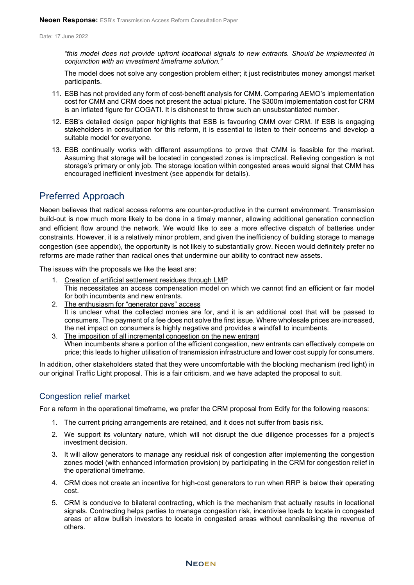*"this model does not provide upfront locational signals to new entrants. Should be implemented in conjunction with an investment timeframe solution."*

The model does not solve any congestion problem either; it just redistributes money amongst market participants.

- 11. ESB has not provided any form of cost-benefit analysis for CMM. Comparing AEMO's implementation cost for CMM and CRM does not present the actual picture. The \$300m implementation cost for CRM is an inflated figure for COGATI. It is dishonest to throw such an unsubstantiated number.
- 12. ESB's detailed design paper highlights that ESB is favouring CMM over CRM. If ESB is engaging stakeholders in consultation for this reform, it is essential to listen to their concerns and develop a suitable model for everyone.
- 13. ESB continually works with different assumptions to prove that CMM is feasible for the market. Assuming that storage will be located in congested zones is impractical. Relieving congestion is not storage's primary or only job. The storage location within congested areas would signal that CMM has encouraged inefficient investment (see appendix for details).

# Preferred Approach

Neoen believes that radical access reforms are counter-productive in the current environment. Transmission build-out is now much more likely to be done in a timely manner, allowing additional generation connection and efficient flow around the network. We would like to see a more effective dispatch of batteries under constraints. However, it is a relatively minor problem, and given the inefficiency of building storage to manage congestion (see appendix), the opportunity is not likely to substantially grow. Neoen would definitely prefer no reforms are made rather than radical ones that undermine our ability to contract new assets.

The issues with the proposals we like the least are:

- 1. Creation of artificial settlement residues through LMP This necessitates an access compensation model on which we cannot find an efficient or fair model for both incumbents and new entrants.
- 2. The enthusiasm for "generator pays" access It is unclear what the collected monies are for, and it is an additional cost that will be passed to consumers. The payment of a fee does not solve the first issue. Where wholesale prices are increased, the net impact on consumers is highly negative and provides a windfall to incumbents.
- 3. The imposition of all incremental congestion on the new entrant When incumbents share a portion of the efficient congestion, new entrants can effectively compete on price; this leads to higher utilisation of transmission infrastructure and lower cost supply for consumers.

In addition, other stakeholders stated that they were uncomfortable with the blocking mechanism (red light) in our original Traffic Light proposal. This is a fair criticism, and we have adapted the proposal to suit.

## Congestion relief market

For a reform in the operational timeframe, we prefer the CRM proposal from Edify for the following reasons:

- 1. The current pricing arrangements are retained, and it does not suffer from basis risk.
- 2. We support its voluntary nature, which will not disrupt the due diligence processes for a project's investment decision.
- 3. It will allow generators to manage any residual risk of congestion after implementing the congestion zones model (with enhanced information provision) by participating in the CRM for congestion relief in the operational timeframe.
- 4. CRM does not create an incentive for high-cost generators to run when RRP is below their operating cost.
- 5. CRM is conducive to bilateral contracting, which is the mechanism that actually results in locational signals. Contracting helps parties to manage congestion risk, incentivise loads to locate in congested areas or allow bullish investors to locate in congested areas without cannibalising the revenue of others.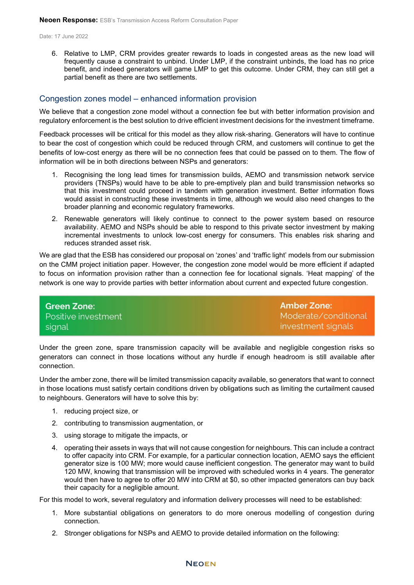6. Relative to LMP, CRM provides greater rewards to loads in congested areas as the new load will frequently cause a constraint to unbind. Under LMP, if the constraint unbinds, the load has no price benefit, and indeed generators will game LMP to get this outcome. Under CRM, they can still get a partial benefit as there are two settlements.

## Congestion zones model – enhanced information provision

We believe that a congestion zone model without a connection fee but with better information provision and regulatory enforcement is the best solution to drive efficient investment decisions for the investment timeframe.

Feedback processes will be critical for this model as they allow risk-sharing. Generators will have to continue to bear the cost of congestion which could be reduced through CRM, and customers will continue to get the benefits of low-cost energy as there will be no connection fees that could be passed on to them. The flow of information will be in both directions between NSPs and generators:

- 1. Recognising the long lead times for transmission builds, AEMO and transmission network service providers (TNSPs) would have to be able to pre-emptively plan and build transmission networks so that this investment could proceed in tandem with generation investment. Better information flows would assist in constructing these investments in time, although we would also need changes to the broader planning and economic regulatory frameworks.
- 2. Renewable generators will likely continue to connect to the power system based on resource availability. AEMO and NSPs should be able to respond to this private sector investment by making incremental investments to unlock low-cost energy for consumers. This enables risk sharing and reduces stranded asset risk.

We are glad that the ESB has considered our proposal on 'zones' and 'traffic light' models from our submission on the CMM project initiation paper. However, the congestion zone model would be more efficient if adapted to focus on information provision rather than a connection fee for locational signals. 'Heat mapping' of the network is one way to provide parties with better information about current and expected future congestion.

**Amber Zone: Green Zone:** Positive investment Moderate/conditional investment signals signal

Under the green zone, spare transmission capacity will be available and negligible congestion risks so generators can connect in those locations without any hurdle if enough headroom is still available after connection.

Under the amber zone, there will be limited transmission capacity available, so generators that want to connect in those locations must satisfy certain conditions driven by obligations such as limiting the curtailment caused to neighbours. Generators will have to solve this by:

- 1. reducing project size, or
- 2. contributing to transmission augmentation, or
- 3. using storage to mitigate the impacts, or
- 4. operating their assets in ways that will not cause congestion for neighbours. This can include a contract to offer capacity into CRM. For example, for a particular connection location, AEMO says the efficient generator size is 100 MW; more would cause inefficient congestion. The generator may want to build 120 MW, knowing that transmission will be improved with scheduled works in 4 years. The generator would then have to agree to offer 20 MW into CRM at \$0, so other impacted generators can buy back their capacity for a negligible amount.

For this model to work, several regulatory and information delivery processes will need to be established:

- 1. More substantial obligations on generators to do more onerous modelling of congestion during connection.
- 2. Stronger obligations for NSPs and AEMO to provide detailed information on the following: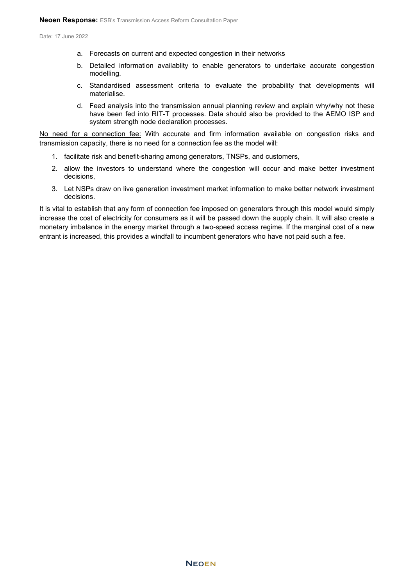- a. Forecasts on current and expected congestion in their networks
- b. Detailed information availablity to enable generators to undertake accurate congestion modelling.
- c. Standardised assessment criteria to evaluate the probability that developments will materialise.
- d. Feed analysis into the transmission annual planning review and explain why/why not these have been fed into RIT-T processes. Data should also be provided to the AEMO ISP and system strength node declaration processes.

No need for a connection fee: With accurate and firm information available on congestion risks and transmission capacity, there is no need for a connection fee as the model will:

- 1. facilitate risk and benefit-sharing among generators, TNSPs, and customers,
- 2. allow the investors to understand where the congestion will occur and make better investment decisions,
- 3. Let NSPs draw on live generation investment market information to make better network investment decisions.

It is vital to establish that any form of connection fee imposed on generators through this model would simply increase the cost of electricity for consumers as it will be passed down the supply chain. It will also create a monetary imbalance in the energy market through a two-speed access regime. If the marginal cost of a new entrant is increased, this provides a windfall to incumbent generators who have not paid such a fee.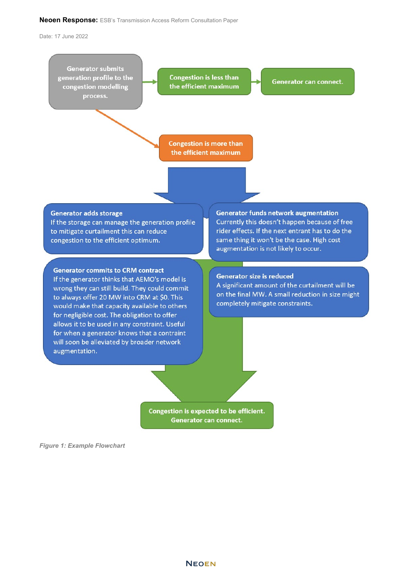#### **Neoen Response:** ESB's Transmission Access Reform Consultation Paper

Date: 17 June 2022



Congestion is expected to be efficient. Generator can connect.

*Figure 1: Example Flowchart*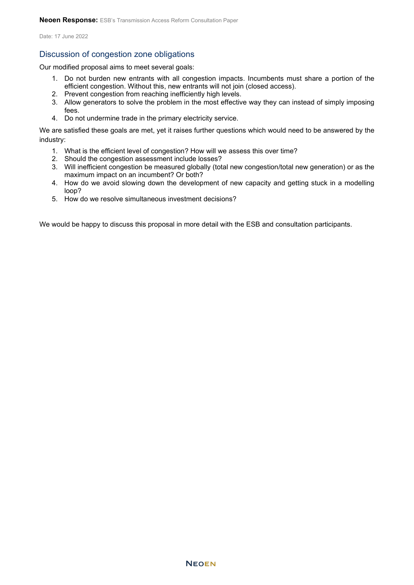## Discussion of congestion zone obligations

Our modified proposal aims to meet several goals:

- 1. Do not burden new entrants with all congestion impacts. Incumbents must share a portion of the efficient congestion. Without this, new entrants will not join (closed access).
- 2. Prevent congestion from reaching inefficiently high levels.
- 3. Allow generators to solve the problem in the most effective way they can instead of simply imposing fees.
- 4. Do not undermine trade in the primary electricity service.

We are satisfied these goals are met, yet it raises further questions which would need to be answered by the industry:

- 1. What is the efficient level of congestion? How will we assess this over time?
- 2. Should the congestion assessment include losses?
- 3. Will inefficient congestion be measured globally (total new congestion/total new generation) or as the maximum impact on an incumbent? Or both?
- 4. How do we avoid slowing down the development of new capacity and getting stuck in a modelling loop?
- 5. How do we resolve simultaneous investment decisions?

We would be happy to discuss this proposal in more detail with the ESB and consultation participants.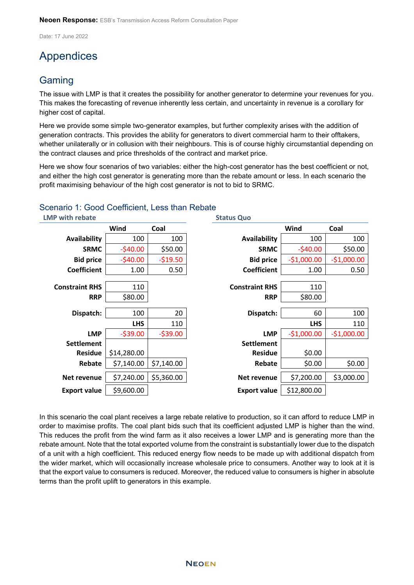# Appendices

# **Gaming**

The issue with LMP is that it creates the possibility for another generator to determine your revenues for you. This makes the forecasting of revenue inherently less certain, and uncertainty in revenue is a corollary for higher cost of capital.

Here we provide some simple two-generator examples, but further complexity arises with the addition of generation contracts. This provides the ability for generators to divert commercial harm to their offtakers, whether unilaterally or in collusion with their neighbours. This is of course highly circumstantial depending on the contract clauses and price thresholds of the contract and market price.

Here we show four scenarios of two variables: either the high-cost generator has the best coefficient or not, and either the high cost generator is generating more than the rebate amount or less. In each scenario the profit maximising behaviour of the high cost generator is not to bid to SRMC.

| <b>LMP with rebate</b> |             |            | <b>Status Quo</b>     |              |              |
|------------------------|-------------|------------|-----------------------|--------------|--------------|
|                        | Wind        | Coal       |                       | Wind         | Coal         |
| Availability           | 100         | 100        | <b>Availability</b>   | 100          | 100          |
| <b>SRMC</b>            | $-540.00$   | \$50.00    | <b>SRMC</b>           | $-540.00$    | \$50.00      |
| <b>Bid price</b>       | $-540.00$   | $-519.50$  | <b>Bid price</b>      | $-$1,000.00$ | $-$1,000.00$ |
| <b>Coefficient</b>     | 1.00        | 0.50       | <b>Coefficient</b>    | 1.00         | 0.50         |
| <b>Constraint RHS</b>  | 110         |            | <b>Constraint RHS</b> | 110          |              |
| <b>RRP</b>             | \$80.00     |            | <b>RRP</b>            | \$80.00      |              |
| Dispatch:              | 100         | 20         | Dispatch:             | 60           | 100          |
|                        | <b>LHS</b>  | 110        |                       | <b>LHS</b>   | 110          |
| <b>LMP</b>             | $-$ \$39.00 | $-539.00$  | <b>LMP</b>            | $-$1,000.00$ | $-$1,000.00$ |
| <b>Settlement</b>      |             |            | <b>Settlement</b>     |              |              |
| <b>Residue</b>         | \$14,280.00 |            | <b>Residue</b>        | \$0.00       |              |
| Rebate                 | \$7,140.00  | \$7,140.00 | Rebate                | \$0.00       | \$0.00       |
| Net revenue            | \$7,240.00  | \$5,360.00 | Net revenue           | \$7,200.00   | \$3,000.00   |
| <b>Export value</b>    | \$9,600.00  |            | <b>Export value</b>   | \$12,800.00  |              |

## Scenario 1: Good Coefficient, Less than Rebate

In this scenario the coal plant receives a large rebate relative to production, so it can afford to reduce LMP in order to maximise profits. The coal plant bids such that its coefficient adjusted LMP is higher than the wind. This reduces the profit from the wind farm as it also receives a lower LMP and is generating more than the rebate amount. Note that the total exported volume from the constraint is substantially lower due to the dispatch of a unit with a high coefficient. This reduced energy flow needs to be made up with additional dispatch from the wider market, which will occasionally increase wholesale price to consumers. Another way to look at it is that the export value to consumers is reduced. Moreover, the reduced value to consumers is higher in absolute terms than the profit uplift to generators in this example.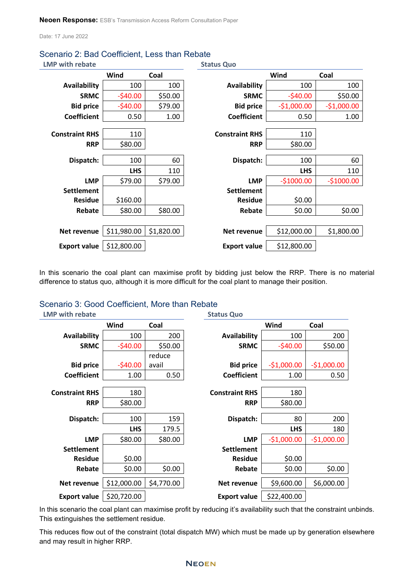| <b>LMP with rebate</b> |             |            | <b>Status Quo</b>     |              |              |
|------------------------|-------------|------------|-----------------------|--------------|--------------|
|                        | Wind        | Coal       |                       | Wind         | Coal         |
| <b>Availability</b>    | 100         | 100        | Availability          | 100          | 100          |
| <b>SRMC</b>            | $-540.00$   | \$50.00    | <b>SRMC</b>           | $-$40.00$    | \$50.00      |
| <b>Bid price</b>       | $-540.00$   | \$79.00    | <b>Bid price</b>      | $-$1,000.00$ | $-$1,000.00$ |
| <b>Coefficient</b>     | 0.50        | 1.00       | <b>Coefficient</b>    | 0.50         | 1.00         |
|                        |             |            |                       |              |              |
| <b>Constraint RHS</b>  | 110         |            | <b>Constraint RHS</b> | 110          |              |
| <b>RRP</b>             | \$80.00     |            | <b>RRP</b>            | \$80.00      |              |
|                        |             |            |                       |              |              |
| Dispatch:              | 100         | 60         | Dispatch:             | 100          | 60           |
|                        | <b>LHS</b>  | 110        |                       | <b>LHS</b>   | 110          |
| <b>LMP</b>             | \$79.00     | \$79.00    | <b>LMP</b>            | $-$1000.00$  | $-$1000.00$  |
| <b>Settlement</b>      |             |            | <b>Settlement</b>     |              |              |
| <b>Residue</b>         | \$160.00    |            | <b>Residue</b>        | \$0.00       |              |
| Rebate                 | \$80.00     | \$80.00    | Rebate                | \$0.00       | \$0.00       |
|                        |             |            |                       |              |              |
| Net revenue            | \$11,980.00 | \$1,820.00 | Net revenue           | \$12,000.00  | \$1,800.00   |
| <b>Export value</b>    | \$12,800.00 |            | <b>Export value</b>   | \$12,800.00  |              |

# Scenario 2: Bad Coefficient, Less than Rebate

In this scenario the coal plant can maximise profit by bidding just below the RRP. There is no material difference to status quo, although it is more difficult for the coal plant to manage their position.

## Scenario 3: Good Coefficient, More than Rebate

| <b>LMP with rebate</b> |             |            | <b>Status Quo</b>     |              |              |
|------------------------|-------------|------------|-----------------------|--------------|--------------|
|                        | Wind        | Coal       |                       | Wind         | Coal         |
| <b>Availability</b>    | 100         | 200        | <b>Availability</b>   | 100          | 200          |
| <b>SRMC</b>            | $-540.00$   | \$50.00    | <b>SRMC</b>           | $-540.00$    | \$50.00      |
|                        |             | reduce     |                       |              |              |
| <b>Bid price</b>       | $-$40.00$   | avail      | <b>Bid price</b>      | $-$1,000.00$ | $-$1,000.00$ |
| <b>Coefficient</b>     | 1.00        | 0.50       | <b>Coefficient</b>    | 1.00         | 0.50         |
|                        |             |            |                       |              |              |
| <b>Constraint RHS</b>  | 180         |            | <b>Constraint RHS</b> | 180          |              |
| <b>RRP</b>             | \$80.00     |            | <b>RRP</b>            | \$80.00      |              |
| Dispatch:              | 100         | 159        | Dispatch:             | 80           | 200          |
|                        |             |            |                       |              |              |
|                        | <b>LHS</b>  | 179.5      |                       | <b>LHS</b>   | 180          |
| <b>LMP</b>             | \$80.00     | \$80.00    | <b>LMP</b>            | $-$1,000.00$ | $-$1,000.00$ |
| <b>Settlement</b>      |             |            | <b>Settlement</b>     |              |              |
| <b>Residue</b>         | \$0.00      |            | <b>Residue</b>        | \$0.00       |              |
| Rebate                 | \$0.00      | \$0.00     | Rebate                | \$0.00       | \$0.00       |
| Net revenue            | \$12,000.00 | \$4,770.00 | Net revenue           | \$9,600.00   | \$6,000.00   |
| <b>Export value</b>    | \$20,720.00 |            | <b>Export value</b>   | \$22,400.00  |              |

In this scenario the coal plant can maximise profit by reducing it's availability such that the constraint unbinds. This extinguishes the settlement residue.

This reduces flow out of the constraint (total dispatch MW) which must be made up by generation elsewhere and may result in higher RRP.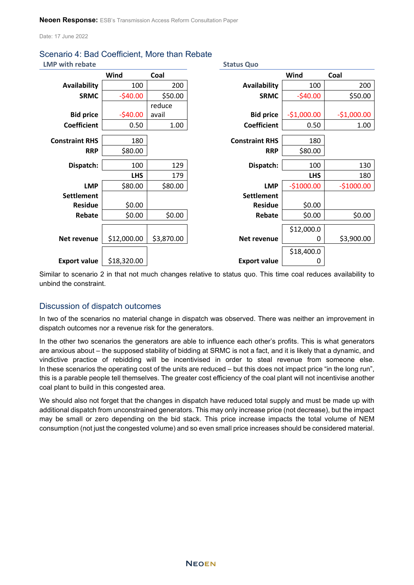**LMP with rebate Status Quo**

| Wind<br>Coal<br>Wind<br>Coal<br>200<br><b>Availability</b><br>100<br><b>Availability</b><br>100<br>200<br>\$50.00<br>$-540.00$<br>\$50.00<br><b>SRMC</b><br>$-540.00$<br><b>SRMC</b><br>reduce<br>$-540.00$<br>$-$1,000.00$<br>$-$1,000.00$<br><b>Bid price</b><br><b>Bid price</b><br>avail<br><b>Coefficient</b><br><b>Coefficient</b><br>0.50<br>1.00<br>1.00<br>0.50<br><b>Constraint RHS</b><br><b>Constraint RHS</b><br>180<br>180<br>\$80.00<br>\$80.00<br><b>RRP</b><br><b>RRP</b><br>129<br>130<br>Dispatch:<br>100<br>Dispatch:<br>100<br><b>LHS</b><br>179<br><b>LHS</b><br>180<br><b>LMP</b><br><b>LMP</b><br>$-$1000.00$<br>\$80.00<br>$-$1000.00$<br>\$80.00<br><b>Settlement</b><br><b>Settlement</b><br>\$0.00<br>\$0.00<br><b>Residue</b><br><b>Residue</b><br>\$0.00<br>\$0.00<br>Rebate<br>\$0.00<br>Rebate<br>\$0.00<br>\$12,000.0<br>\$12,000.00<br>\$3,870.00<br>\$3,900.00<br>Net revenue<br>Net revenue<br>0<br>\$18,400.0<br>\$18,320.00<br><b>Export value</b><br><b>Export value</b><br>0 |  |  |  |
|----------------------------------------------------------------------------------------------------------------------------------------------------------------------------------------------------------------------------------------------------------------------------------------------------------------------------------------------------------------------------------------------------------------------------------------------------------------------------------------------------------------------------------------------------------------------------------------------------------------------------------------------------------------------------------------------------------------------------------------------------------------------------------------------------------------------------------------------------------------------------------------------------------------------------------------------------------------------------------------------------------------------|--|--|--|
|                                                                                                                                                                                                                                                                                                                                                                                                                                                                                                                                                                                                                                                                                                                                                                                                                                                                                                                                                                                                                      |  |  |  |
|                                                                                                                                                                                                                                                                                                                                                                                                                                                                                                                                                                                                                                                                                                                                                                                                                                                                                                                                                                                                                      |  |  |  |
|                                                                                                                                                                                                                                                                                                                                                                                                                                                                                                                                                                                                                                                                                                                                                                                                                                                                                                                                                                                                                      |  |  |  |
|                                                                                                                                                                                                                                                                                                                                                                                                                                                                                                                                                                                                                                                                                                                                                                                                                                                                                                                                                                                                                      |  |  |  |
|                                                                                                                                                                                                                                                                                                                                                                                                                                                                                                                                                                                                                                                                                                                                                                                                                                                                                                                                                                                                                      |  |  |  |
|                                                                                                                                                                                                                                                                                                                                                                                                                                                                                                                                                                                                                                                                                                                                                                                                                                                                                                                                                                                                                      |  |  |  |
|                                                                                                                                                                                                                                                                                                                                                                                                                                                                                                                                                                                                                                                                                                                                                                                                                                                                                                                                                                                                                      |  |  |  |
|                                                                                                                                                                                                                                                                                                                                                                                                                                                                                                                                                                                                                                                                                                                                                                                                                                                                                                                                                                                                                      |  |  |  |
|                                                                                                                                                                                                                                                                                                                                                                                                                                                                                                                                                                                                                                                                                                                                                                                                                                                                                                                                                                                                                      |  |  |  |
|                                                                                                                                                                                                                                                                                                                                                                                                                                                                                                                                                                                                                                                                                                                                                                                                                                                                                                                                                                                                                      |  |  |  |
|                                                                                                                                                                                                                                                                                                                                                                                                                                                                                                                                                                                                                                                                                                                                                                                                                                                                                                                                                                                                                      |  |  |  |
|                                                                                                                                                                                                                                                                                                                                                                                                                                                                                                                                                                                                                                                                                                                                                                                                                                                                                                                                                                                                                      |  |  |  |
|                                                                                                                                                                                                                                                                                                                                                                                                                                                                                                                                                                                                                                                                                                                                                                                                                                                                                                                                                                                                                      |  |  |  |
|                                                                                                                                                                                                                                                                                                                                                                                                                                                                                                                                                                                                                                                                                                                                                                                                                                                                                                                                                                                                                      |  |  |  |
|                                                                                                                                                                                                                                                                                                                                                                                                                                                                                                                                                                                                                                                                                                                                                                                                                                                                                                                                                                                                                      |  |  |  |
|                                                                                                                                                                                                                                                                                                                                                                                                                                                                                                                                                                                                                                                                                                                                                                                                                                                                                                                                                                                                                      |  |  |  |
|                                                                                                                                                                                                                                                                                                                                                                                                                                                                                                                                                                                                                                                                                                                                                                                                                                                                                                                                                                                                                      |  |  |  |
|                                                                                                                                                                                                                                                                                                                                                                                                                                                                                                                                                                                                                                                                                                                                                                                                                                                                                                                                                                                                                      |  |  |  |
|                                                                                                                                                                                                                                                                                                                                                                                                                                                                                                                                                                                                                                                                                                                                                                                                                                                                                                                                                                                                                      |  |  |  |

Similar to scenario 2 in that not much changes relative to status quo. This time coal reduces availability to unbind the constraint.

## Discussion of dispatch outcomes

In two of the scenarios no material change in dispatch was observed. There was neither an improvement in dispatch outcomes nor a revenue risk for the generators.

In the other two scenarios the generators are able to influence each other's profits. This is what generators are anxious about – the supposed stability of bidding at SRMC is not a fact, and it is likely that a dynamic, and vindictive practice of rebidding will be incentivised in order to steal revenue from someone else. In these scenarios the operating cost of the units are reduced – but this does not impact price "in the long run", this is a parable people tell themselves. The greater cost efficiency of the coal plant will not incentivise another coal plant to build in this congested area.

We should also not forget that the changes in dispatch have reduced total supply and must be made up with additional dispatch from unconstrained generators. This may only increase price (not decrease), but the impact may be small or zero depending on the bid stack. This price increase impacts the total volume of NEM consumption (not just the congested volume) and so even small price increases should be considered material.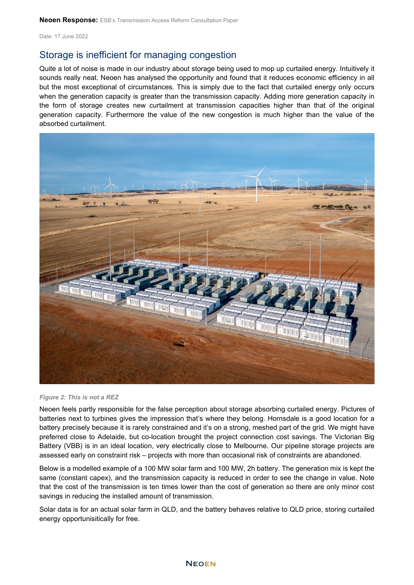# Storage is inefficient for managing congestion

Quite a lot of noise is made in our industry about storage being used to mop up curtailed energy. Intuitively it sounds really neat. Neoen has analysed the opportunity and found that it reduces economic efficiency in all but the most exceptional of circumstances. This is simply due to the fact that curtailed energy only occurs when the generation capacity is greater than the transmission capacity. Adding more generation capacity in the form of storage creates new curtailment at transmission capacities higher than that of the original generation capacity. Furthermore the value of the new congestion is much higher than the value of the absorbed curtailment.



*Figure 2: This is not a REZ*

Neoen feels partly responsible for the false perception about storage absorbing curtailed energy. Pictures of batteries next to turbines gives the impression that's where they belong. Hornsdale is a good location for a battery precisely because it is rarely constrained and it's on a strong, meshed part of the grid. We might have preferred close to Adelaide, but co-location brought the project connection cost savings. The Victorian Big Battery (VBB) is in an ideal location, very electrically close to Melbourne. Our pipeline storage projects are assessed early on constraint risk – projects with more than occasional risk of constraints are abandoned.

Below is a modelled example of a 100 MW solar farm and 100 MW, 2h battery. The generation mix is kept the same (constant capex), and the transmission capacity is reduced in order to see the change in value. Note that the cost of the transmission is ten times lower than the cost of generation so there are only minor cost savings in reducing the installed amount of transmission.

Solar data is for an actual solar farm in QLD, and the battery behaves relative to QLD price, storing curtailed energy opportunisitically for free.